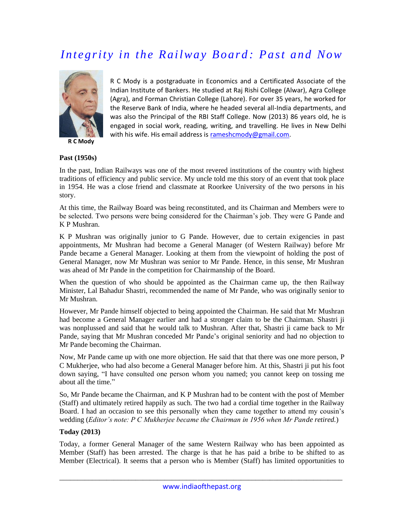## *Integrity in the Railway Board : Past and Now*



**R C Mody**

R C Mody is a postgraduate in Economics and a Certificated Associate of the Indian Institute of Bankers. He studied at Raj Rishi College (Alwar), Agra College (Agra), and Forman Christian College (Lahore). For over 35 years, he worked for the Reserve Bank of India, where he headed several all-India departments, and was also the Principal of the RBI Staff College. Now (2013) 86 years old, he is engaged in social work, reading, writing, and travelling. He lives in New Delhi with his wife. His email address is [rameshcmody@gmail.com.](mailto:rameshcmody@gmail.com)

## **Past (1950s)**

In the past, Indian Railways was one of the most revered institutions of the country with highest traditions of efficiency and public service. My uncle told me this story of an event that took place in 1954. He was a close friend and classmate at Roorkee University of the two persons in his story.

At this time, the Railway Board was being reconstituted, and its Chairman and Members were to be selected. Two persons were being considered for the Chairman's job. They were G Pande and K P Mushran.

K P Mushran was originally junior to G Pande. However, due to certain exigencies in past appointments, Mr Mushran had become a General Manager (of Western Railway) before Mr Pande became a General Manager. Looking at them from the viewpoint of holding the post of General Manager, now Mr Mushran was senior to Mr Pande. Hence, in this sense, Mr Mushran was ahead of Mr Pande in the competition for Chairmanship of the Board.

When the question of who should be appointed as the Chairman came up, the then Railway Minister, Lal Bahadur Shastri, recommended the name of Mr Pande, who was originally senior to Mr Mushran.

However, Mr Pande himself objected to being appointed the Chairman. He said that Mr Mushran had become a General Manager earlier and had a stronger claim to be the Chairman. Shastri ji was nonplussed and said that he would talk to Mushran. After that, Shastri ji came back to Mr Pande, saying that Mr Mushran conceded Mr Pande's original seniority and had no objection to Mr Pande becoming the Chairman.

Now, Mr Pande came up with one more objection. He said that that there was one more person, P C Mukherjee, who had also become a General Manager before him. At this, Shastri ji put his foot down saying, "I have consulted one person whom you named; you cannot keep on tossing me about all the time."

So, Mr Pande became the Chairman, and K P Mushran had to be content with the post of Member (Staff) and ultimately retired happily as such. The two had a cordial time together in the Railway Board. I had an occasion to see this personally when they came together to attend my cousin's wedding (*Editor's note: P C Mukherjee became the Chairman in 1956 when Mr Pande retired.*)

## **Today (2013)**

Today, a former General Manager of the same Western Railway who has been appointed as Member (Staff) has been arrested. The charge is that he has paid a bribe to be shifted to as Member (Electrical). It seems that a person who is Member (Staff) has limited opportunities to